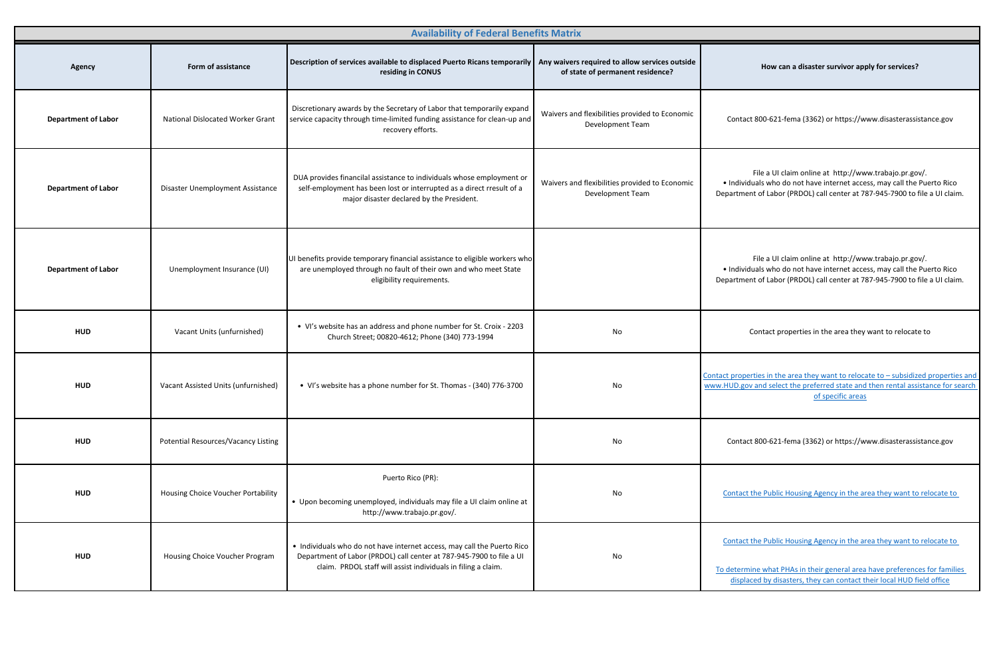| <b>Availability of Federal Benefits Matrix</b> |                                         |                                                                                                                                                                                                                  |                                                                           |                                                                                                                                                                                                                               |
|------------------------------------------------|-----------------------------------------|------------------------------------------------------------------------------------------------------------------------------------------------------------------------------------------------------------------|---------------------------------------------------------------------------|-------------------------------------------------------------------------------------------------------------------------------------------------------------------------------------------------------------------------------|
| <b>Agency</b>                                  | Form of assistance                      | Description of services available to displaced Puerto Ricans temporarily   Any waivers required to allow services outside<br>residing in CONUS                                                                   | of state of permanent residence?                                          | How can a disaster survivor apply for services?                                                                                                                                                                               |
| <b>Department of Labor</b>                     | <b>National Dislocated Worker Grant</b> | Discretionary awards by the Secretary of Labor that temporarily expand<br>service capacity through time-limited funding assistance for clean-up and<br>recovery efforts.                                         | Waivers and flexibilities provided to Economic<br>Development Team        | Contact 800-621-fema (3362) or https://www.disasterassistance.gov                                                                                                                                                             |
| <b>Department of Labor</b>                     | Disaster Unemployment Assistance        | DUA provides financilal assistance to individuals whose employment or<br>self-employment has been lost or interrupted as a direct rresult of a<br>major disaster declared by the President.                      | Waivers and flexibilities provided to Economic<br><b>Development Team</b> | File a UI claim online at http://www.trabajo.pr.gov/.<br>. Individuals who do not have internet access, may call the Puerto Rico<br>Department of Labor (PRDOL) call center at 787-945-7900 to file a UI claim.               |
| <b>Department of Labor</b>                     | Unemployment Insurance (UI)             | UI benefits provide temporary financial assistance to eligible workers who<br>are unemployed through no fault of their own and who meet State<br>eligibility requirements.                                       |                                                                           | File a UI claim online at http://www.trabajo.pr.gov/.<br>. Individuals who do not have internet access, may call the Puerto Rico<br>Department of Labor (PRDOL) call center at 787-945-7900 to file a UI claim.               |
| <b>HUD</b>                                     | Vacant Units (unfurnished)              | • VI's website has an address and phone number for St. Croix - 2203<br>Church Street; 00820-4612; Phone (340) 773-1994                                                                                           | No                                                                        | Contact properties in the area they want to relocate to                                                                                                                                                                       |
| <b>HUD</b>                                     | Vacant Assisted Units (unfurnished)     | • VI's website has a phone number for St. Thomas - (340) 776-3700                                                                                                                                                | No                                                                        | Contact properties in the area they want to relocate to - subsidized properties and<br>www.HUD.gov and select the preferred state and then rental assistance for search<br>of specific areas                                  |
| <b>HUD</b>                                     | Potential Resources/Vacancy Listing     |                                                                                                                                                                                                                  | No                                                                        | Contact 800-621-fema (3362) or https://www.disasterassistance.gov                                                                                                                                                             |
| <b>HUD</b>                                     | Housing Choice Voucher Portability      | Puerto Rico (PR):<br>• Upon becoming unemployed, individuals may file a UI claim online at<br>http://www.trabajo.pr.gov/.                                                                                        | No                                                                        | Contact the Public Housing Agency in the area they want to relocate to                                                                                                                                                        |
| <b>HUD</b>                                     | Housing Choice Voucher Program          | • Individuals who do not have internet access, may call the Puerto Rico<br>Department of Labor (PRDOL) call center at 787-945-7900 to file a UI<br>claim. PRDOL staff will assist individuals in filing a claim. | No                                                                        | Contact the Public Housing Agency in the area they want to relocate to<br>To determine what PHAs in their general area have preferences for families<br>displaced by disasters, they can contact their local HUD field office |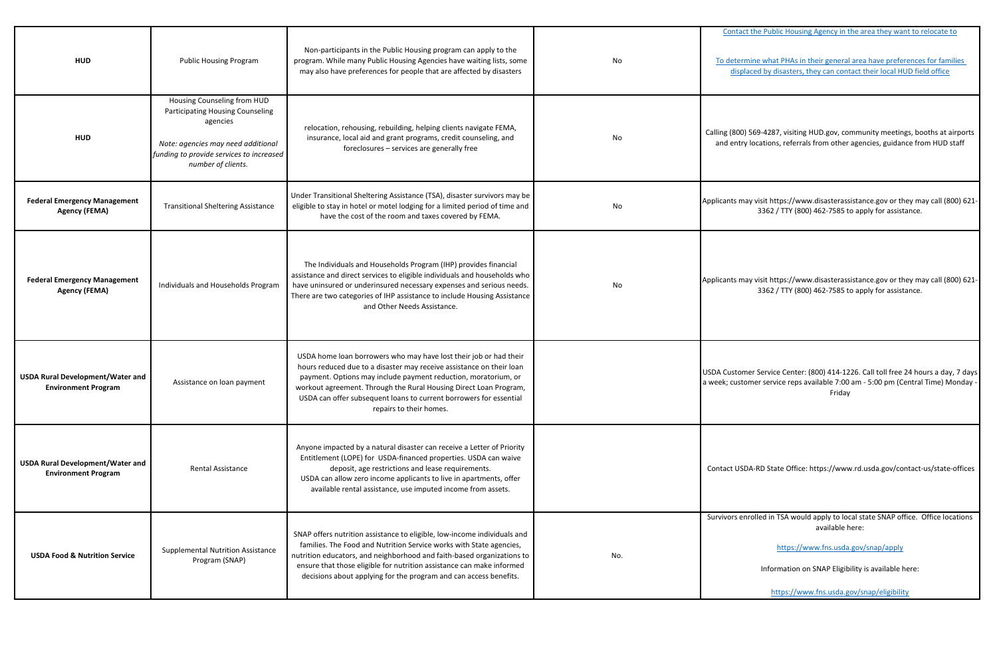| <b>HUD</b>                                                            | <b>Public Housing Program</b>                                                                                                                                                              | Non-participants in the Public Housing program can apply to the<br>program. While many Public Housing Agencies have waiting lists, some<br>may also have preferences for people that are affected by disasters                                                                                                                                                                    | No  | Contact the Public Housing Agency in the area they want to relocate to<br>To determine what PHAs in their general area have preferences for families<br>displaced by disasters, they can contact their local HUD field office                   |
|-----------------------------------------------------------------------|--------------------------------------------------------------------------------------------------------------------------------------------------------------------------------------------|-----------------------------------------------------------------------------------------------------------------------------------------------------------------------------------------------------------------------------------------------------------------------------------------------------------------------------------------------------------------------------------|-----|-------------------------------------------------------------------------------------------------------------------------------------------------------------------------------------------------------------------------------------------------|
| <b>HUD</b>                                                            | Housing Counseling from HUD<br><b>Participating Housing Counseling</b><br>agencies<br>Note: agencies may need additional<br>funding to provide services to increased<br>number of clients. | relocation, rehousing, rebuilding, helping clients navigate FEMA,<br>insurance, local aid and grant programs, credit counseling, and<br>foreclosures - services are generally free                                                                                                                                                                                                | No  | Calling (800) 569-4287, visiting HUD.gov, community meetings, booths at airports<br>and entry locations, referrals from other agencies, guidance from HUD staff                                                                                 |
| <b>Federal Emergency Management</b><br><b>Agency (FEMA)</b>           | <b>Transitional Sheltering Assistance</b>                                                                                                                                                  | Under Transitional Sheltering Assistance (TSA), disaster survivors may be<br>eligible to stay in hotel or motel lodging for a limited period of time and<br>have the cost of the room and taxes covered by FEMA.                                                                                                                                                                  | No  | Applicants may visit https://www.disasterassistance.gov or they may call (800) 621-<br>3362 / TTY (800) 462-7585 to apply for assistance.                                                                                                       |
| <b>Federal Emergency Management</b><br><b>Agency (FEMA)</b>           | Individuals and Households Program                                                                                                                                                         | The Individuals and Households Program (IHP) provides financial<br>assistance and direct services to eligible individuals and households who<br>have uninsured or underinsured necessary expenses and serious needs.<br>There are two categories of IHP assistance to include Housing Assistance<br>and Other Needs Assistance.                                                   | No  | Applicants may visit https://www.disasterassistance.gov or they may call (800) 621-<br>3362 / TTY (800) 462-7585 to apply for assistance.                                                                                                       |
| <b>USDA Rural Development/Water and</b><br><b>Environment Program</b> | Assistance on loan payment                                                                                                                                                                 | USDA home loan borrowers who may have lost their job or had their<br>hours reduced due to a disaster may receive assistance on their loan<br>payment. Options may include payment reduction, moratorium, or<br>workout agreement. Through the Rural Housing Direct Loan Program,<br>USDA can offer subsequent loans to current borrowers for essential<br>repairs to their homes. |     | USDA Customer Service Center: (800) 414-1226. Call toll free 24 hours a day, 7 days<br>a week; customer service reps available 7:00 am - 5:00 pm (Central Time) Monday -<br>Friday                                                              |
| <b>USDA Rural Development/Water and</b><br><b>Environment Program</b> | <b>Rental Assistance</b>                                                                                                                                                                   | Anyone impacted by a natural disaster can receive a Letter of Priority<br>Entitlement (LOPE) for USDA-financed properties. USDA can waive<br>deposit, age restrictions and lease requirements.<br>USDA can allow zero income applicants to live in apartments, offer<br>available rental assistance, use imputed income from assets.                                              |     | Contact USDA-RD State Office: https://www.rd.usda.gov/contact-us/state-offices                                                                                                                                                                  |
| <b>USDA Food &amp; Nutrition Service</b>                              | <b>Supplemental Nutrition Assistance</b><br>Program (SNAP)                                                                                                                                 | SNAP offers nutrition assistance to eligible, low-income individuals and<br>families. The Food and Nutrition Service works with State agencies,<br>nutrition educators, and neighborhood and faith-based organizations to<br>ensure that those eligible for nutrition assistance can make informed<br>decisions about applying for the program and can access benefits.           | No. | Survivors enrolled in TSA would apply to local state SNAP office. Office locations<br>available here:<br>https://www.fns.usda.gov/snap/apply<br>Information on SNAP Eligibility is available here:<br>https://www.fns.usda.gov/snap/eligibility |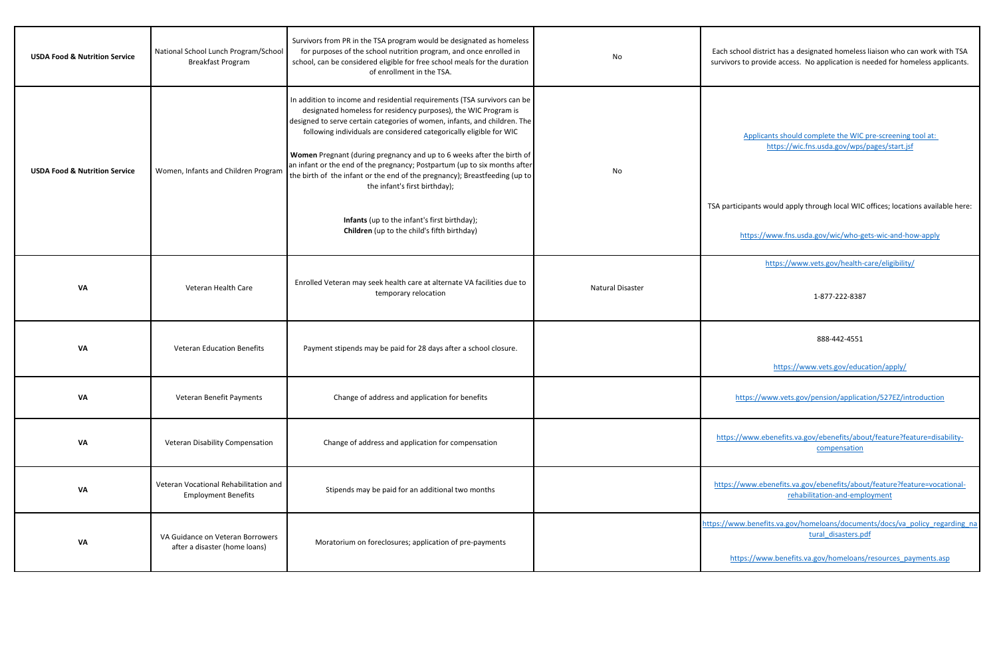| <b>USDA Food &amp; Nutrition Service</b> | National School Lunch Program/School<br><b>Breakfast Program</b>    | Survivors from PR in the TSA program would be designated as homeless<br>for purposes of the school nutrition program, and once enrolled in<br>school, can be considered eligible for free school meals for the duration<br>of enrollment in the TSA.                                                                                                                                                                                                                                                                                                                 | No                      | Each school district has a designated homeless liaison who can work with TSA<br>survivors to provide access. No application is needed for homeless applicants. |
|------------------------------------------|---------------------------------------------------------------------|----------------------------------------------------------------------------------------------------------------------------------------------------------------------------------------------------------------------------------------------------------------------------------------------------------------------------------------------------------------------------------------------------------------------------------------------------------------------------------------------------------------------------------------------------------------------|-------------------------|----------------------------------------------------------------------------------------------------------------------------------------------------------------|
| <b>USDA Food &amp; Nutrition Service</b> | Women, Infants and Children Program                                 | In addition to income and residential requirements (TSA survivors can be<br>designated homeless for residency purposes), the WIC Program is<br>designed to serve certain categories of women, infants, and children. The<br>following individuals are considered categorically eligible for WIC<br>Women Pregnant (during pregnancy and up to 6 weeks after the birth of<br>an infant or the end of the pregnancy; Postpartum (up to six months after<br>the birth of the infant or the end of the pregnancy); Breastfeeding (up to<br>the infant's first birthday); | No                      | Applicants should complete the WIC pre-screening tool at:<br>https://wic.fns.usda.gov/wps/pages/start.jsf                                                      |
|                                          |                                                                     | Infants (up to the infant's first birthday);<br><b>Children</b> (up to the child's fifth birthday)                                                                                                                                                                                                                                                                                                                                                                                                                                                                   |                         | TSA participants would apply through local WIC offices; locations available here:<br>https://www.fns.usda.gov/wic/who-gets-wic-and-how-apply                   |
| <b>VA</b>                                | Veteran Health Care                                                 | Enrolled Veteran may seek health care at alternate VA facilities due to<br>temporary relocation                                                                                                                                                                                                                                                                                                                                                                                                                                                                      | <b>Natural Disaster</b> | https://www.vets.gov/health-care/eligibility/<br>1-877-222-8387                                                                                                |
| <b>VA</b>                                | <b>Veteran Education Benefits</b>                                   | Payment stipends may be paid for 28 days after a school closure.                                                                                                                                                                                                                                                                                                                                                                                                                                                                                                     |                         | 888-442-4551                                                                                                                                                   |
|                                          |                                                                     |                                                                                                                                                                                                                                                                                                                                                                                                                                                                                                                                                                      |                         | https://www.vets.gov/education/apply/                                                                                                                          |
| <b>VA</b>                                | Veteran Benefit Payments                                            | Change of address and application for benefits                                                                                                                                                                                                                                                                                                                                                                                                                                                                                                                       |                         | https://www.vets.gov/pension/application/527EZ/introduction                                                                                                    |
| <b>VA</b>                                | <b>Veteran Disability Compensation</b>                              | Change of address and application for compensation                                                                                                                                                                                                                                                                                                                                                                                                                                                                                                                   |                         | https://www.ebenefits.va.gov/ebenefits/about/feature?feature=disability-<br>compensation                                                                       |
| <b>VA</b>                                | Veteran Vocational Rehabilitation and<br><b>Employment Benefits</b> | Stipends may be paid for an additional two months                                                                                                                                                                                                                                                                                                                                                                                                                                                                                                                    |                         | https://www.ebenefits.va.gov/ebenefits/about/feature?feature=vocational-<br>rehabilitation-and-employment                                                      |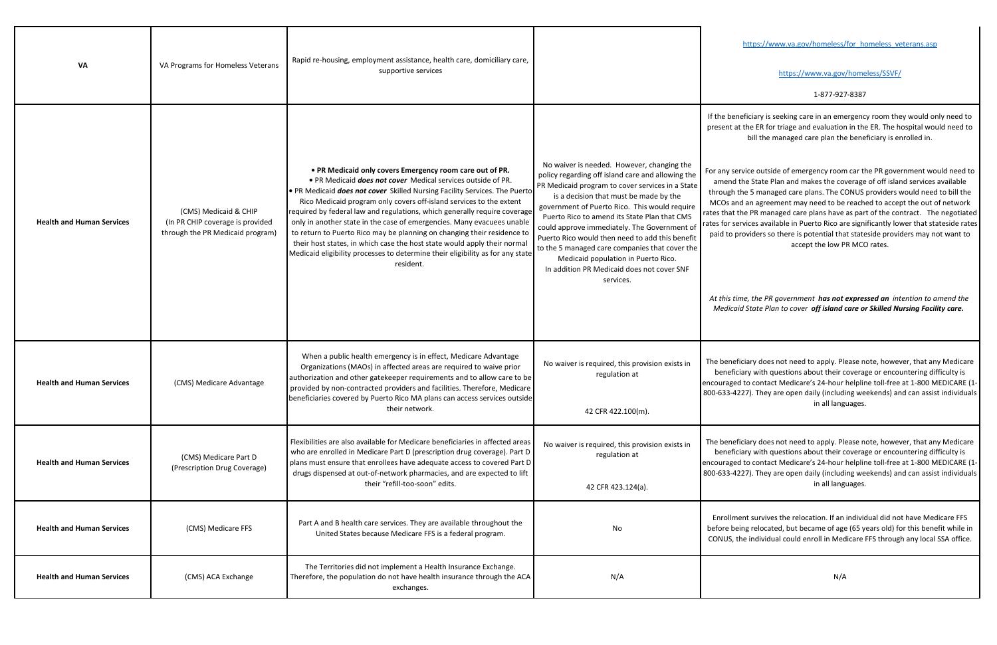|                                  |                                                                                               |                                                                                                                                                                                                                                                                                                                                                                                                                                                                                                                                                                                                                                                                                            |                                                                                                                                                                                                                                                                                                                                                                                                                                                                                                                                                       | https://www.va.gov/homeless/for homeless veterans.asp                                                                                                                                                                                                                                                                                                                                                                                                                                                                                                                                                                           |
|----------------------------------|-----------------------------------------------------------------------------------------------|--------------------------------------------------------------------------------------------------------------------------------------------------------------------------------------------------------------------------------------------------------------------------------------------------------------------------------------------------------------------------------------------------------------------------------------------------------------------------------------------------------------------------------------------------------------------------------------------------------------------------------------------------------------------------------------------|-------------------------------------------------------------------------------------------------------------------------------------------------------------------------------------------------------------------------------------------------------------------------------------------------------------------------------------------------------------------------------------------------------------------------------------------------------------------------------------------------------------------------------------------------------|---------------------------------------------------------------------------------------------------------------------------------------------------------------------------------------------------------------------------------------------------------------------------------------------------------------------------------------------------------------------------------------------------------------------------------------------------------------------------------------------------------------------------------------------------------------------------------------------------------------------------------|
| <b>VA</b>                        | VA Programs for Homeless Veterans                                                             | Rapid re-housing, employment assistance, health care, domiciliary care,<br>supportive services                                                                                                                                                                                                                                                                                                                                                                                                                                                                                                                                                                                             |                                                                                                                                                                                                                                                                                                                                                                                                                                                                                                                                                       | https://www.va.gov/homeless/SSVF/                                                                                                                                                                                                                                                                                                                                                                                                                                                                                                                                                                                               |
|                                  |                                                                                               |                                                                                                                                                                                                                                                                                                                                                                                                                                                                                                                                                                                                                                                                                            |                                                                                                                                                                                                                                                                                                                                                                                                                                                                                                                                                       | 1-877-927-8387                                                                                                                                                                                                                                                                                                                                                                                                                                                                                                                                                                                                                  |
|                                  |                                                                                               |                                                                                                                                                                                                                                                                                                                                                                                                                                                                                                                                                                                                                                                                                            |                                                                                                                                                                                                                                                                                                                                                                                                                                                                                                                                                       | If the beneficiary is seeking care in an emergency room they would only need to<br>present at the ER for triage and evaluation in the ER. The hospital would need to<br>bill the managed care plan the beneficiary is enrolled in.                                                                                                                                                                                                                                                                                                                                                                                              |
| <b>Health and Human Services</b> | (CMS) Medicaid & CHIP<br>(In PR CHIP coverage is provided<br>through the PR Medicaid program) | • PR Medicaid only covers Emergency room care out of PR.<br>• PR Medicaid does not cover Medical services outside of PR.<br>• PR Medicaid does not cover Skilled Nursing Facility Services. The Puerto<br>Rico Medicaid program only covers off-island services to the extent<br>required by federal law and regulations, which generally require coverage<br>only in another state in the case of emergencies. Many evacuees unable<br>to return to Puerto Rico may be planning on changing their residence to<br>their host states, in which case the host state would apply their normal<br>Medicaid eligibility processes to determine their eligibility as for any state<br>resident. | No waiver is needed. However, changing the<br>policy regarding off island care and allowing the<br>PR Medicaid program to cover services in a State<br>is a decision that must be made by the<br>government of Puerto Rico. This would require<br>Puerto Rico to amend its State Plan that CMS<br>could approve immediately. The Government of<br>Puerto Rico would then need to add this benefit<br>to the 5 managed care companies that cover the<br>Medicaid population in Puerto Rico.<br>In addition PR Medicaid does not cover SNF<br>services. | For any service outside of emergency room car the PR government would need to<br>amend the State Plan and makes the coverage of off island services available<br>through the 5 managed care plans. The CONUS providers would need to bill the<br>MCOs and an agreement may need to be reached to accept the out of network<br>rates that the PR managed care plans have as part of the contract. The negotiated<br>rates for services available in Puerto Rico are significantly lower that stateside rates<br>paid to providers so there is potential that stateside providers may not want to<br>accept the low PR MCO rates. |
|                                  |                                                                                               |                                                                                                                                                                                                                                                                                                                                                                                                                                                                                                                                                                                                                                                                                            |                                                                                                                                                                                                                                                                                                                                                                                                                                                                                                                                                       | At this time, the PR government has not expressed an intention to amend the<br>Medicaid State Plan to cover off island care or Skilled Nursing Facility care.                                                                                                                                                                                                                                                                                                                                                                                                                                                                   |
| <b>Health and Human Services</b> | (CMS) Medicare Advantage                                                                      | When a public health emergency is in effect, Medicare Advantage<br>Organizations (MAOs) in affected areas are required to waive prior<br>authorization and other gatekeeper requirements and to allow care to be<br>provided by non-contracted providers and facilities. Therefore, Medicare<br>beneficiaries covered by Puerto Rico MA plans can access services outside<br>their network.                                                                                                                                                                                                                                                                                                | No waiver is required, this provision exists in<br>regulation at                                                                                                                                                                                                                                                                                                                                                                                                                                                                                      | The beneficiary does not need to apply. Please note, however, that any Medicare<br>beneficiary with questions about their coverage or encountering difficulty is<br>encouraged to contact Medicare's 24-hour helpline toll-free at 1-800 MEDICARE (1-<br>800-633-4227). They are open daily (including weekends) and can assist individuals<br>in all languages.                                                                                                                                                                                                                                                                |
|                                  |                                                                                               |                                                                                                                                                                                                                                                                                                                                                                                                                                                                                                                                                                                                                                                                                            | 42 CFR 422.100(m).                                                                                                                                                                                                                                                                                                                                                                                                                                                                                                                                    |                                                                                                                                                                                                                                                                                                                                                                                                                                                                                                                                                                                                                                 |
| <b>Health and Human Services</b> | (CMS) Medicare Part D<br>(Prescription Drug Coverage)                                         | Flexibilities are also available for Medicare beneficiaries in affected areas<br>who are enrolled in Medicare Part D (prescription drug coverage). Part D<br>plans must ensure that enrollees have adequate access to covered Part D<br>drugs dispensed at out-of-network pharmacies, and are expected to lift                                                                                                                                                                                                                                                                                                                                                                             | No waiver is required, this provision exists in<br>regulation at                                                                                                                                                                                                                                                                                                                                                                                                                                                                                      | The beneficiary does not need to apply. Please note, however, that any Medicare<br>beneficiary with questions about their coverage or encountering difficulty is<br>encouraged to contact Medicare's 24-hour helpline toll-free at 1-800 MEDICARE (1-<br>800-633-4227). They are open daily (including weekends) and can assist individuals                                                                                                                                                                                                                                                                                     |
|                                  |                                                                                               | their "refill-too-soon" edits.                                                                                                                                                                                                                                                                                                                                                                                                                                                                                                                                                                                                                                                             | 42 CFR 423.124(a).                                                                                                                                                                                                                                                                                                                                                                                                                                                                                                                                    | in all languages.                                                                                                                                                                                                                                                                                                                                                                                                                                                                                                                                                                                                               |
| <b>Health and Human Services</b> | (CMS) Medicare FFS                                                                            | Part A and B health care services. They are available throughout the<br>United States because Medicare FFS is a federal program.                                                                                                                                                                                                                                                                                                                                                                                                                                                                                                                                                           | No                                                                                                                                                                                                                                                                                                                                                                                                                                                                                                                                                    | Enrollment survives the relocation. If an individual did not have Medicare FFS<br>before being relocated, but became of age (65 years old) for this benefit while in<br>CONUS, the individual could enroll in Medicare FFS through any local SSA office.                                                                                                                                                                                                                                                                                                                                                                        |
| <b>Health and Human Services</b> | (CMS) ACA Exchange                                                                            | The Territories did not implement a Health Insurance Exchange.<br>Therefore, the population do not have health insurance through the ACA<br>exchanges.                                                                                                                                                                                                                                                                                                                                                                                                                                                                                                                                     | N/A                                                                                                                                                                                                                                                                                                                                                                                                                                                                                                                                                   | N/A                                                                                                                                                                                                                                                                                                                                                                                                                                                                                                                                                                                                                             |